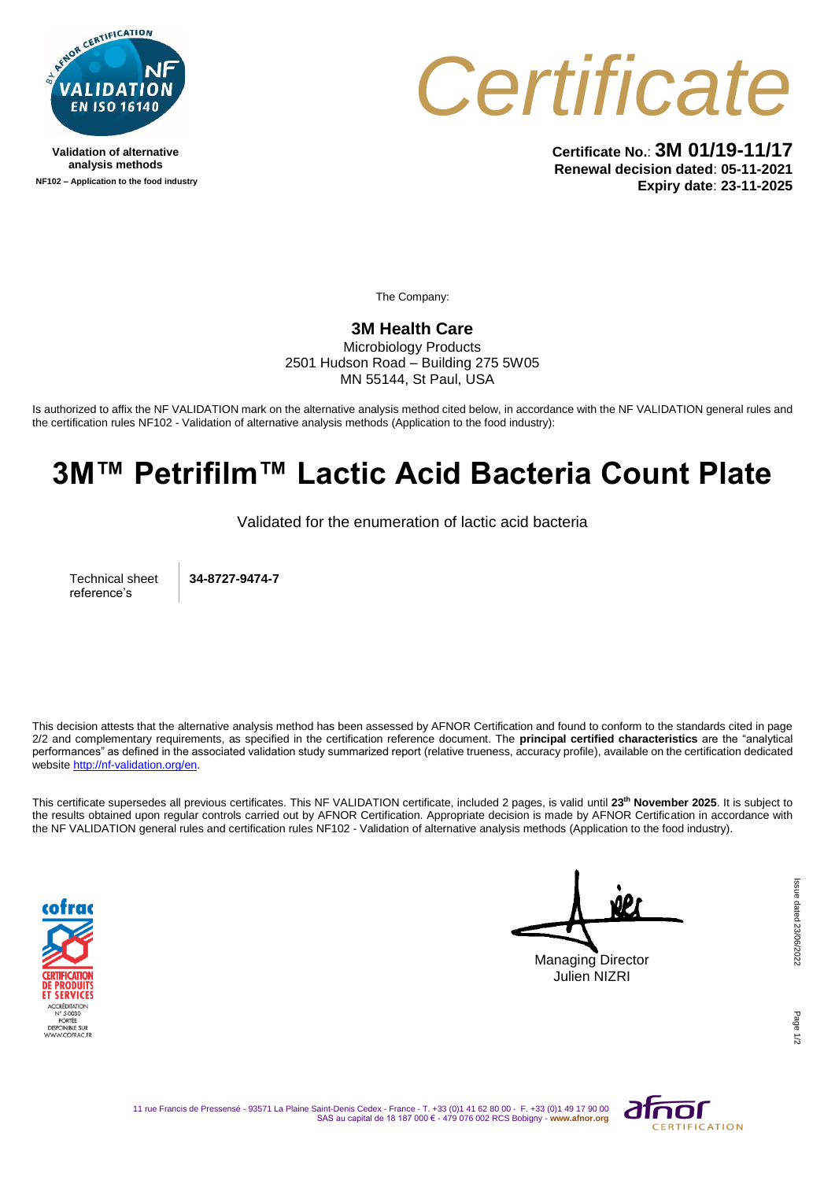

**Validation of alternative analysis methods NF102 – Application to the food industry**



**Certificate No.**: **3M 01/19-11/17 Renewal decision dated**: **05-11-2021 Expiry date**: **23-11-2025**

The Company:

## **3M Health Care**

Microbiology Products 2501 Hudson Road – Building 275 5W05 MN 55144, St Paul, USA

Is authorized to affix the NF VALIDATION mark on the alternative analysis method cited below, in accordance with the NF VALIDATION general rules and the certification rules NF102 - Validation of alternative analysis methods (Application to the food industry):

## **3M™ Petrifilm™ Lactic Acid Bacteria Count Plate**

Validated for the enumeration of lactic acid bacteria

Technical sheet reference's

**34-8727-9474-7**

This decision attests that the alternative analysis method has been assessed by AFNOR Certification and found to conform to the standards cited in page 2/2 and complementary requirements, as specified in the certification reference document. The **principal certified characteristics** are the "analytical performances" as defined in the associated validation study summarized report (relative trueness, accuracy profile), available on the certification dedicated websit[e http://nf-validation.org/en.](http://nf-validation.org/en)

This certificate supersedes all previous certificates. This NF VALIDATION certificate, included 2 pages, is valid until **23th November 2025**. It is subject to the results obtained upon regular controls carried out by AFNOR Certification. Appropriate decision is made by AFNOR Certification in accordance with the NF VALIDATION general rules and certification rules NF102 - Validation of alternative analysis methods (Application to the food industry).



Managing Director Julien NIZRI

Page